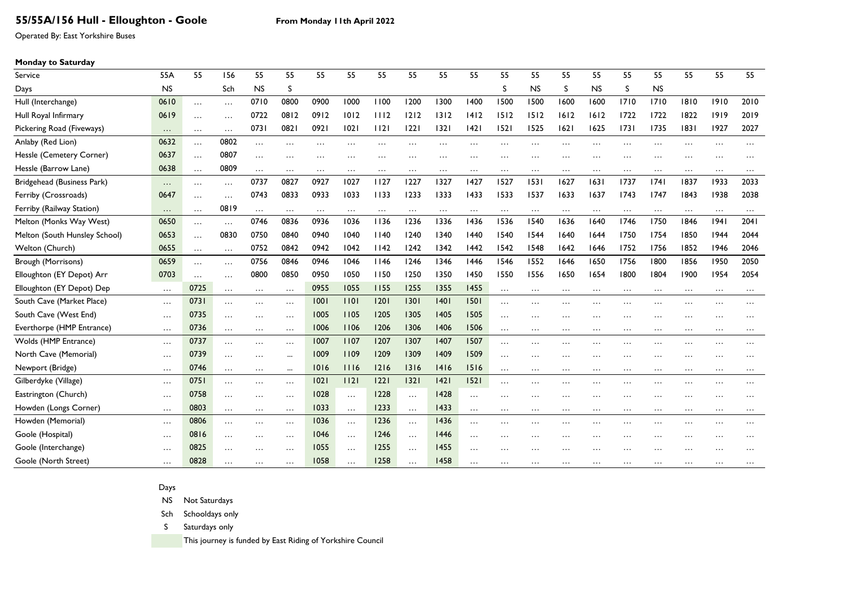## **55/55A/156 Hull - Elloughton - Goole From Monday 11th April 2022**

Operated By: East Yorkshire Buses

### **Monday to Saturday**

| Service                       | 55A       | 55       | 156      | 55        | 55           | 55        | 55        | 55       | 55       | 55        | 55                  | 55        | 55        | 55       | 55        | 55        | 55        | 55       | 55       | 55       |
|-------------------------------|-----------|----------|----------|-----------|--------------|-----------|-----------|----------|----------|-----------|---------------------|-----------|-----------|----------|-----------|-----------|-----------|----------|----------|----------|
| Days                          | <b>NS</b> |          | Sch      | <b>NS</b> | <sub>S</sub> |           |           |          |          |           |                     | S         | <b>NS</b> | S        | <b>NS</b> | S.        | <b>NS</b> |          |          |          |
| Hull (Interchange)            | 0610      | $\cdots$ | $\cdots$ | 0710      | 0800         | 0900      | 1000      | 1100     | 1200     | 1300      | 1400                | 1500      | 1500      | 1600     | 1600      | 1710      | 1710      | 1810     | 1910     | 2010     |
| Hull Royal Infirmary          | 0619      | $\cdots$ | $\cdots$ | 0722      | 0812         | 0912      | 1012      | 1112     | $1212$   | 1312      | 1412                | 1512      | 1512      | 1612     | 1612      | 1722      | 1722      | 1822     | 1919     | 2019     |
| Pickering Road (Fiveways)     | $\ldots$  | $\cdots$ | $\ldots$ | 0731      | 0821         | 0921      | 02        | 1121     | 22       | 1321      | 42                  | 1521      | 1525      | 1621     | 1625      | 1731      | 1735      | 1831     | 1927     | 2027     |
| Anlaby (Red Lion)             | 0632      | $\ldots$ | 0802     | $\cdots$  | .            | $\ddotsc$ | $\cdots$  |          | .        | $\ddotsc$ |                     |           |           |          | .         | .         | .         | .        | $\cdots$ | .        |
| Hessle (Cemetery Corner)      | 0637      | $\cdots$ | 0807     | $\cdots$  | .            | $\ddotsc$ | $\ddotsc$ |          | .        | .         | $\ddotsc$           | $\ddotsc$ | .         | .        | $\cdots$  | .         | .         |          | .        |          |
| Hessle (Barrow Lane)          | 0638      | $\cdots$ | 0809     | $\cdots$  | $\cdots$     | $\cdots$  |           | $\cdots$ | $\cdots$ | $\cdots$  |                     |           | $\cdots$  | .        | $\ldots$  | $\cdots$  | $\cdots$  | $\cdots$ | $\cdots$ |          |
| Bridgehead (Business Park)    | $\cdots$  | $\cdots$ | $\cdots$ | 0737      | 0827         | 0927      | 1027      | 1127     | 1227     | 1327      | 1427                | 1527      | 1531      | 1627     | 1631      | 1737      | 1741      | 1837     | 1933     | 2033     |
| Ferriby (Crossroads)          | 0647      | $\cdots$ | $\cdots$ | 0743      | 0833         | 0933      | 1033      | 1133     | 1233     | 1333      | 1433                | 1533      | 1537      | 1633     | 1637      | 1743      | 1747      | 1843     | 1938     | 2038     |
| Ferriby (Railway Station)     | $\ldots$  | $\cdots$ | 0819     | $\ldots$  | $\cdots$     | $\cdots$  | $\ldots$  | $\cdots$ | $\cdots$ | $\ddots$  | $\ddots$            | $\cdots$  | $\cdots$  | $\cdots$ | $\ldots$  | $\ddots$  | $\cdots$  | $\cdots$ | $\cdots$ |          |
| Melton (Monks Way West)       | 0650      | $\cdots$ | $\cdots$ | 0746      | 0836         | 0936      | 1036      | 1136     | 1236     | 1336      | 1436                | 1536      | 1540      | 1636     | 1640      | 1746      | 1750      | 1846     | 94       | 2041     |
| Melton (South Hunsley School) | 0653      | $\cdots$ | 0830     | 0750      | 0840         | 0940      | 1040      | 1140     | 1240     | 1340      | 1440                | 1540      | 1544      | 1640     | 1644      | 1750      | 1754      | 1850     | 1944     | 2044     |
| Welton (Church)               | 0655      | $\cdots$ | $\ldots$ | 0752      | 0842         | 0942      | 1042      | 1142     | 1242     | 1342      | 1442                | 1542      | 1548      | 1642     | 1646      | 1752      | 1756      | 1852     | 1946     | 2046     |
| Brough (Morrisons)            | 0659      | $\cdots$ | $\cdots$ | 0756      | 0846         | 0946      | 1046      | 1146     | 1246     | 1346      | 1446                | 1546      | 1552      | 1646     | 1650      | 1756      | 1800      | 1856     | 1950     | 2050     |
| Elloughton (EY Depot) Arr     | 0703      | $\cdots$ | $\cdots$ | 0800      | 0850         | 0950      | 1050      | 1150     | 1250     | 1350      | 1450                | 1550      | 1556      | 1650     | 1654      | 1800      | 1804      | 1900     | 1954     | 2054     |
| Elloughton (EY Depot) Dep     | $\cdots$  | 0725     | $\cdots$ | $\cdots$  | $\cdots$     | 0955      | 1055      | 1155     | 1255     | 1355      | 1455                | $\cdots$  | $\cdots$  | $\cdots$ | $\cdots$  | $\cdots$  | $\cdots$  | $\cdots$ | $\cdots$ | $\cdots$ |
| South Cave (Market Place)     | $\cdots$  | 0731     | $\cdots$ | $\cdots$  | $\cdots$     | 1001      | 1101      | 1201     | 1301     | 40        | 1501                |           | $\cdots$  | .        |           | $\ddotsc$ | $\cdots$  | .        | $\cdots$ | .        |
| South Cave (West End)         | $\cdots$  | 0735     | $\cdots$ | $\cdots$  | $\cdots$     | 1005      | 1105      | 1205     | 1305     | 1405      | 1505                | $\ddotsc$ | .         | .        |           | $\ddotsc$ | $\ddots$  | .        | $\cdots$ |          |
| Everthorpe (HMP Entrance)     | $\cdots$  | 0736     | $\cdots$ | $\cdots$  | $\cdots$     | 1006      | 1106      | 1206     | 1306     | 1406      | 1506                | $\cdots$  | $\cdots$  | .        | $\cdots$  | .         | $\cdots$  | .        | .        |          |
| Wolds (HMP Entrance)          | $\ddots$  | 0737     | $\cdots$ | $\cdots$  | $\cdots$     | 1007      | 1107      | 1207     | 1307     | 1407      | 1507                |           | .         | .        |           | .         | $\cdots$  | .        | $\cdots$ |          |
| North Cave (Memorial)         | $\cdots$  | 0739     | $\cdots$ | $\cdots$  | $\cdots$     | 1009      | 1109      | 1209     | 1309     | 1409      | 1509                |           |           |          | .         |           |           |          | .        |          |
| Newport (Bridge)              | $\ddots$  | 0746     | $\cdots$ | $\cdots$  | $\cdots$     | 1016      | 1116      | 1216     | 1316     | 1416      | 1516                | $\cdots$  | .         | .        | $\cdots$  | $\ddots$  | $\cdots$  | $\cdots$ | $\cdots$ |          |
| Gilberdyke (Village)          | $\ddots$  | 0751     | $\cdots$ | $\cdots$  | $\ddotsc$    | 1021      | 1121      | 221      | 1321     | 42        | 1521                | $\cdots$  | $\cdots$  | .        |           | .         | .         | .        | $\cdots$ |          |
| Eastrington (Church)          | $\ddots$  | 0758     | $\cdots$ | $\cdots$  |              | 1028      | $\ldots$  | 1228     | $\cdots$ | 1428      | $\cdot$             |           | .         |          |           |           | .         |          |          |          |
| Howden (Longs Corner)         | $\ddots$  | 0803     | $\cdots$ | $\cdots$  | $\ddots$     | 1033      | $\ddots$  | 1233     | $\cdots$ | 1433      |                     | $\cdots$  | $\cdots$  | $\cdots$ | $\cdots$  | $\cdots$  | $\cdots$  | $\cdots$ | $\cdots$ | $\cdots$ |
| Howden (Memorial)             | $\ddots$  | 0806     | $\cdots$ | $\cdots$  | $\cdots$     | 1036      | $\ldots$  | 1236     | $\cdots$ | 1436      |                     |           | .         | .        | .         | .         | $\cdots$  | .        | .        | .        |
| Goole (Hospital)              | $\cdots$  | 0816     | $\cdots$ | $\cdots$  |              | 1046      | $\cdots$  | 1246     | $\cdots$ | 1446      | $\cdot \cdot \cdot$ | $\ddotsc$ | .         |          | .         |           |           |          | .        |          |
| Goole (Interchange)           | $\cdots$  | 0825     | $\cdots$ | .         | $\ddotsc$    | 1055      | $\ddotsc$ | 1255     | $\cdots$ | 1455      |                     |           |           |          |           |           |           |          |          |          |
| Goole (North Street)          | $\cdots$  | 0828     | $\cdots$ | .         | .            | 1058      | $\cdot$   | 1258     | .        | 1458      |                     |           |           |          |           |           |           |          |          |          |

#### Days

NS Not Saturdays

Sch Schooldays only

S Saturdays only

This journey is funded by East Riding of Yorkshire Council